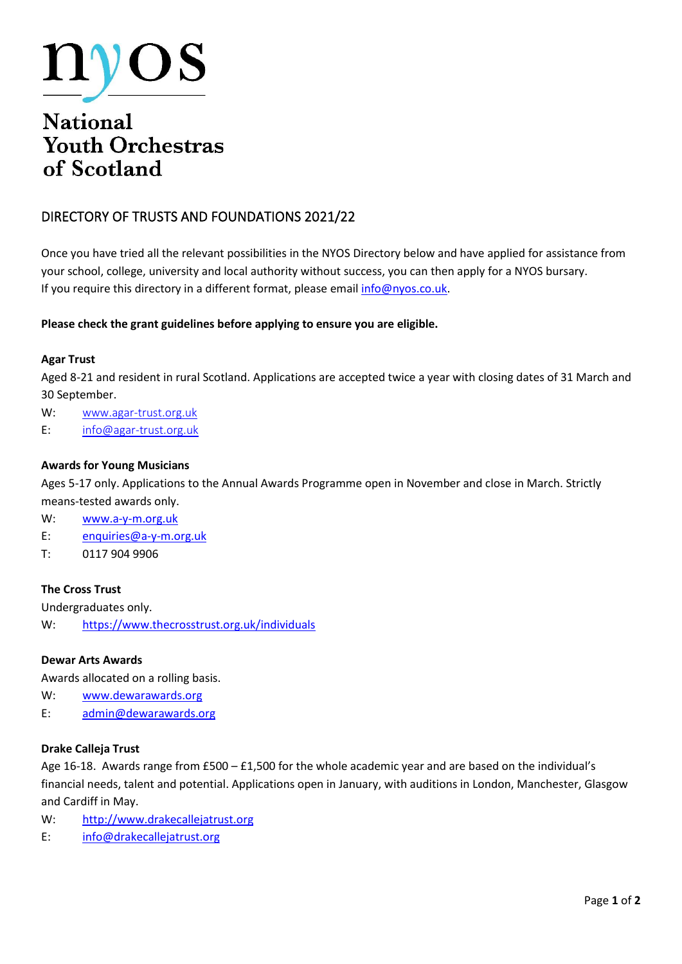

# **Youth Orchestras** of Scotland

## DIRECTORY OF TRUSTS AND FOUNDATIONS 2021/22

Once you have tried all the relevant possibilities in the NYOS Directory below and have applied for assistance from your school, college, university and local authority without success, you can then apply for a NYOS bursary. If you require this directory in a different format, please email [info@nyos.co.uk.](mailto:info@nyos.co.uk)

#### **Please check the grant guidelines before applying to ensure you are eligible.**

#### **Agar Trust**

Aged 8-21 and resident in rural Scotland. Applications are accepted twice a year with closing dates of 31 March and 30 September.

W: [www.agar-trust.org.uk](http://www.agar-trust.org.uk/)

E: [info@agar-trust.org.uk](mailto:info@agar-trust.org.uk)

#### **Awards for Young Musicians**

Ages 5-17 only. Applications to the Annual Awards Programme open in November and close in March. Strictly means-tested awards only.

W: [www.a-y-m.org.uk](http://www.a-y-m.org.uk/)

- E: [enquiries@a-y-m.org.uk](mailto:enquiries@a-y-m.org.uk)
- T: 0117 904 9906

#### **The Cross Trust**

Undergraduates only.

W: <https://www.thecrosstrust.org.uk/individuals>

#### **Dewar Arts Awards**

Awards allocated on a rolling basis.

- W: [www.dewarawards.org](http://www.dewarawards.org/)
- E: [admin@dewarawards.org](mailto:admin@dewarawards.org)

#### **Drake Calleja Trust**

Age 16-18. Awards range from £500 – £1,500 for the whole academic year and are based on the individual's financial needs, talent and potential. Applications open in January, with auditions in London, Manchester, Glasgow and Cardiff in May.

- W: [http://www.drakecallejatrust.org](http://www.drakecallejatrust.org/)
- E: [info@drakecallejatrust.org](mailto:info@drakecallejatrust.org)